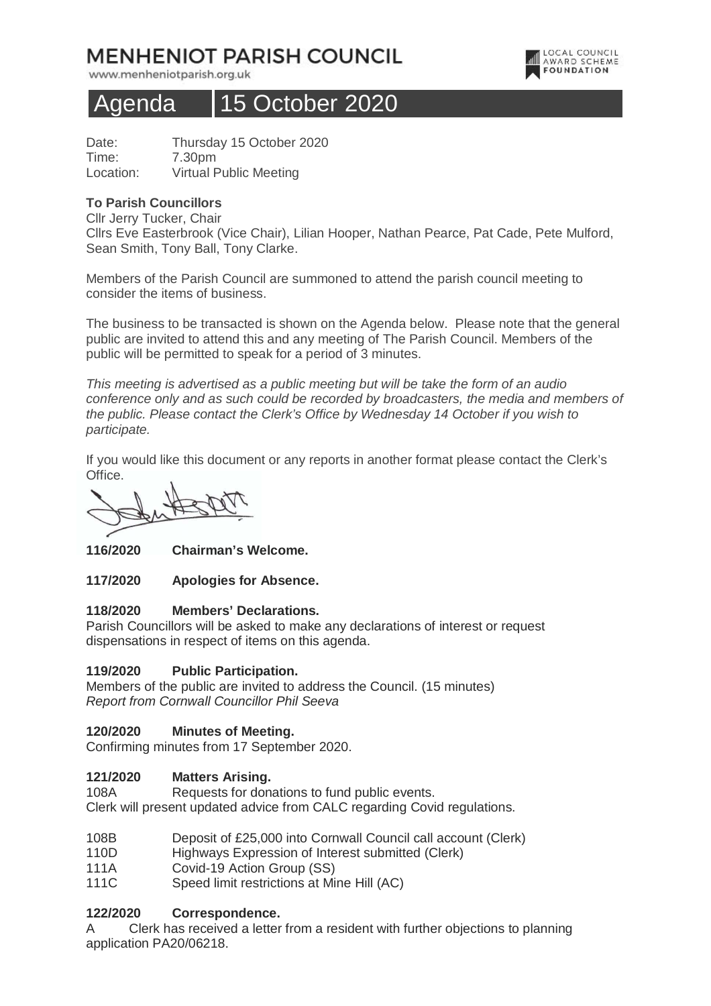# **MENHENIOT PARISH COUNCIL**

www.menheniotparish.org.uk



# Agenda | 15 October 2020

Date: Thursday 15 October 2020 Time: 7.30pm Location: Virtual Public Meeting

### **To Parish Councillors**

Cllr Jerry Tucker, Chair Cllrs Eve Easterbrook (Vice Chair), Lilian Hooper, Nathan Pearce, Pat Cade, Pete Mulford, Sean Smith, Tony Ball, Tony Clarke.

Members of the Parish Council are summoned to attend the parish council meeting to consider the items of business.

The business to be transacted is shown on the Agenda below. Please note that the general public are invited to attend this and any meeting of The Parish Council. Members of the public will be permitted to speak for a period of 3 minutes.

This meeting is advertised as a public meeting but will be take the form of an audio conference only and as such could be recorded by broadcasters, the media and members of the public. Please contact the Clerk's Office by Wednesday 14 October if you wish to participate.

If you would like this document or any reports in another format please contact the Clerk's Office.

**116/2020 Chairman's Welcome.** 

**117/2020 Apologies for Absence.** 

#### **118/2020 Members' Declarations.**

Parish Councillors will be asked to make any declarations of interest or request dispensations in respect of items on this agenda.

# **119/2020 Public Participation.**

Members of the public are invited to address the Council. (15 minutes) Report from Cornwall Councillor Phil Seeva

# **120/2020 Minutes of Meeting.**

Confirming minutes from 17 September 2020.

#### **121/2020 Matters Arising.**

108A Requests for donations to fund public events. Clerk will present updated advice from CALC regarding Covid regulations.

- 108B Deposit of £25,000 into Cornwall Council call account (Clerk)
- 110D Highways Expression of Interest submitted (Clerk)
- 111A Covid-19 Action Group (SS)
- 111C Speed limit restrictions at Mine Hill (AC)

# **122/2020 Correspondence.**

A Clerk has received a letter from a resident with further objections to planning application PA20/06218.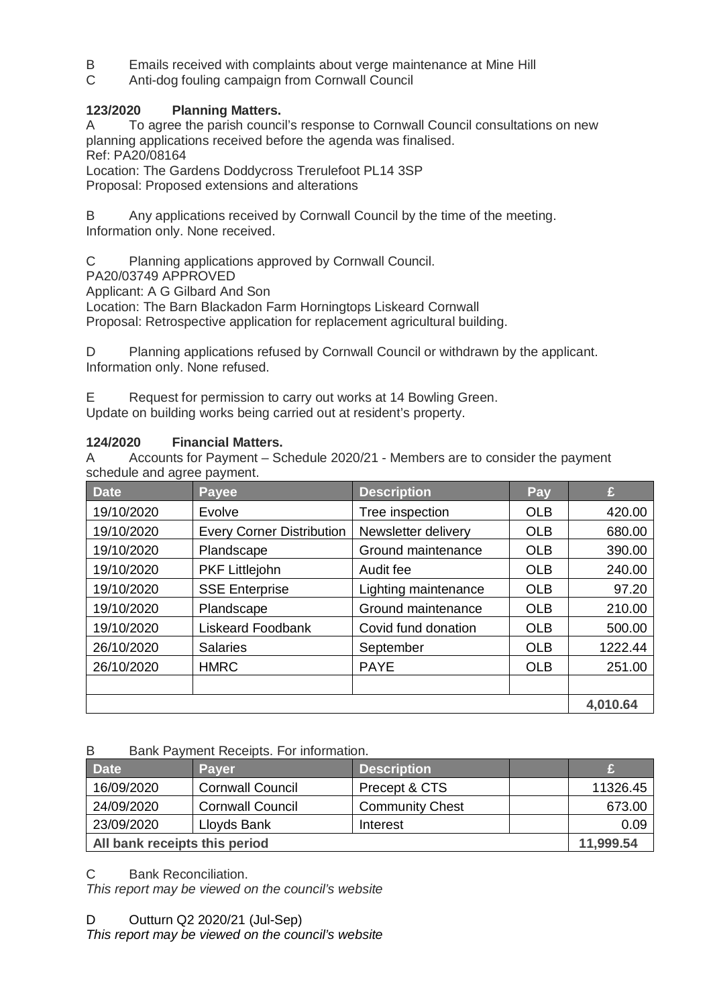- B Emails received with complaints about verge maintenance at Mine Hill<br>C Anti-dog fouling campaign from Cornwall Council
- Anti-dog fouling campaign from Cornwall Council

# **123/2020 Planning Matters.**

A To agree the parish council's response to Cornwall Council consultations on new planning applications received before the agenda was finalised. Ref: PA20/08164

Location: The Gardens Doddycross Trerulefoot PL14 3SP Proposal: Proposed extensions and alterations

B Any applications received by Cornwall Council by the time of the meeting. Information only. None received.

C Planning applications approved by Cornwall Council.

PA20/03749 APPROVED

Applicant: A G Gilbard And Son

Location: The Barn Blackadon Farm Horningtops Liskeard Cornwall

Proposal: Retrospective application for replacement agricultural building.

D Planning applications refused by Cornwall Council or withdrawn by the applicant. Information only. None refused.

E Request for permission to carry out works at 14 Bowling Green. Update on building works being carried out at resident's property.

#### **124/2020 Financial Matters.**

A Accounts for Payment – Schedule 2020/21 - Members are to consider the payment schedule and agree payment.

| <b>Date</b> | <b>Payee</b>                     | <b>Description</b>   | Pay        | £        |
|-------------|----------------------------------|----------------------|------------|----------|
| 19/10/2020  | Evolve                           | Tree inspection      | <b>OLB</b> | 420.00   |
| 19/10/2020  | <b>Every Corner Distribution</b> | Newsletter delivery  | <b>OLB</b> | 680.00   |
| 19/10/2020  | Plandscape                       | Ground maintenance   | <b>OLB</b> | 390.00   |
| 19/10/2020  | PKF Littlejohn                   | Audit fee            | <b>OLB</b> | 240.00   |
| 19/10/2020  | <b>SSE Enterprise</b>            | Lighting maintenance | <b>OLB</b> | 97.20    |
| 19/10/2020  | Plandscape                       | Ground maintenance   | <b>OLB</b> | 210.00   |
| 19/10/2020  | <b>Liskeard Foodbank</b>         | Covid fund donation  | <b>OLB</b> | 500.00   |
| 26/10/2020  | <b>Salaries</b>                  | September            | <b>OLB</b> | 1222.44  |
| 26/10/2020  | <b>HMRC</b>                      | <b>PAYE</b>          | <b>OLB</b> | 251.00   |
|             |                                  |                      |            |          |
|             |                                  |                      |            | 4,010.64 |

B Bank Payment Receipts. For information.

| <b>Date</b>                   | <b>Paver</b>            | <b>Description</b>     |          |
|-------------------------------|-------------------------|------------------------|----------|
| 16/09/2020                    | <b>Cornwall Council</b> | Precept & CTS          | 11326.45 |
| 24/09/2020                    | <b>Cornwall Council</b> | <b>Community Chest</b> | 673.00   |
| 23/09/2020                    | Lloyds Bank             | Interest               | 0.09     |
| All bank receipts this period |                         |                        |          |

C Bank Reconciliation.

This report may be viewed on the council's website

D Outturn Q2 2020/21 (Jul-Sep)

This report may be viewed on the council's website